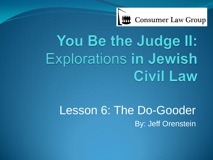

# You Be the Judge II: **Explorations in Jewish Civil Law**

# Lesson 6: The Do-Gooder By: Jeff Orenstein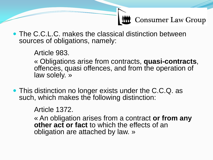• The C.C.L.C. makes the classical distinction between sources of obligations, namely:

Article 983.

« Obligations arise from contracts, **quasi-contracts**, offences, quasi offences, and from the operation of law solely. »

• This distinction no longer exists under the C.C.Q. as such, which makes the following distinction:

Article 1372.

« An obligation arises from a contract **or from any other act or fact** to which the effects of an obligation are attached by law. »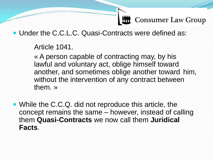Under the C.C.L.C. Quasi-Contracts were defined as:

Article 1041.

« A person capable of contracting may, by his lawful and voluntary act, oblige himself toward another, and sometimes oblige another toward him, without the intervention of any contract between them. »

• While the C.C.Q. did not reproduce this article, the concept remains the same – however, instead of calling them **Quasi-Contracts** we now call them **Juridical Facts**.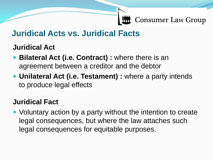### **Juridical Acts vs. Juridical Facts**

#### **Juridical Act**

- **Bilateral Act (i.e. Contract):** where there is an agreement between a creditor and the debtor
- **Unilateral Act (i.e. Testament) :** where a party intends to produce legal effects

#### **Juridical Fact**

 Voluntary action by a party without the intention to create legal consequences, but where the law attaches such legal consequences for equitable purposes.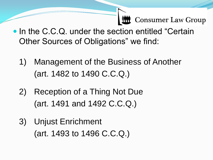- In the C.C.Q. under the section entitled "Certain Other Sources of Obligations" we find:
	- 1) Management of the Business of Another (art. 1482 to 1490 C.C.Q.)
	- 2) Reception of a Thing Not Due (art. 1491 and 1492 C.C.Q.)
	- 3) Unjust Enrichment (art. 1493 to 1496 C.C.Q.)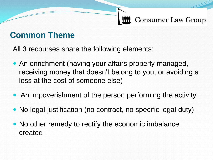### **Common Theme**

All 3 recourses share the following elements:

- An enrichment (having your affairs properly managed, receiving money that doesn't belong to you, or avoiding a loss at the cost of someone else)
- An impoverishment of the person performing the activity
- No legal justification (no contract, no specific legal duty)
- No other remedy to rectify the economic imbalance created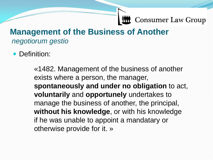#### **Management of the Business of Another** *negotiorum gestio*

• Definition:

«1482. Management of the business of another exists where a person, the manager, **spontaneously and under no obligation** to act, **voluntarily** and **opportunely** undertakes to manage the business of another, the principal, **without his knowledge**, or with his knowledge if he was unable to appoint a mandatary or otherwise provide for it. »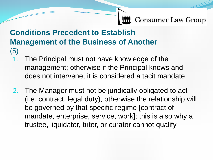#### **Conditions Precedent to Establish Management of the Business of Another** (5)

- 1. The Principal must not have knowledge of the management; otherwise if the Principal knows and does not intervene, it is considered a tacit mandate
- 2. The Manager must not be juridically obligated to act (i.e. contract, legal duty); otherwise the relationship will be governed by that specific regime [contract of mandate, enterprise, service, work]; this is also why a trustee, liquidator, tutor, or curator cannot qualify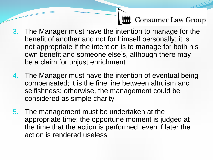- 3. The Manager must have the intention to manage for the benefit of another and not for himself personally; it is not appropriate if the intention is to manage for both his own benefit and someone else's, although there may be a claim for unjust enrichment
- 4. The Manager must have the intention of eventual being compensated; it is the fine line between altruism and selfishness; otherwise, the management could be considered as simple charity
- 5. The management must be undertaken at the appropriate time; the opportune moment is judged at the time that the action is performed, even if later the action is rendered useless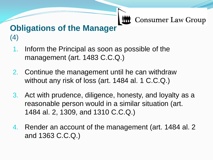### **Obligations of the Manager** (4)

- 1. Inform the Principal as soon as possible of the management (art. 1483 C.C.Q.)
- 2. Continue the management until he can withdraw without any risk of loss (art. 1484 al. 1 C.C.Q.)
- 3. Act with prudence, diligence, honesty, and loyalty as a reasonable person would in a similar situation (art. 1484 al. 2, 1309, and 1310 C.C.Q.)
- 4. Render an account of the management (art. 1484 al. 2 and 1363 C.C.Q.)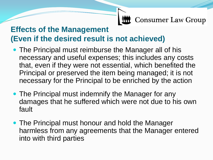#### **Effects of the Management (Even if the desired result is not achieved)**

- The Principal must reimburse the Manager all of his necessary and useful expenses; this includes any costs that, even if they were not essential, which benefited the Principal or preserved the item being managed; it is not necessary for the Principal to be enriched by the action
- The Principal must indemnify the Manager for any damages that he suffered which were not due to his own fault
- The Principal must honour and hold the Manager harmless from any agreements that the Manager entered into with third parties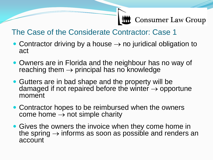#### The Case of the Considerate Contractor: Case 1

- Contractor driving by a house  $\rightarrow$  no juridical obligation to act
- Owners are in Florida and the neighbour has no way of reaching them  $\rightarrow$  principal has no knowledge
- Gutters are in bad shape and the property will be damaged if not repaired before the winter  $\rightarrow$  opportune moment
- Contractor hopes to be reimbursed when the owners come home  $\rightarrow$  not simple charity
- Gives the owners the invoice when they come home in the spring  $\rightarrow$  informs as soon as possible and renders an account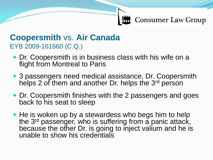#### **Coopersmith** vs. **Air Canada** EYB 2009-161660 (C.Q.)

- Dr. Coopersmith is in business class with his wife on a flight from Montreal to Paris
- 3 passengers need medical assistance, Dr. Coopersmith helps 2 of them and another Dr. helps the 3<sup>rd</sup> person
- Dr. Coopersmith finishes with the 2 passengers and goes back to his seat to sleep
- He is woken up by a stewardess who begs him to help the 3<sup>rd</sup> passenger, who is suffering from a panic attack, because the other Dr. is going to inject valium and he is unable to show his credentials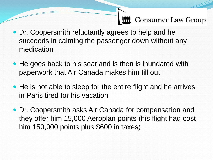- Dr. Coopersmith reluctantly agrees to help and he succeeds in calming the passenger down without any medication
- He goes back to his seat and is then is inundated with paperwork that Air Canada makes him fill out
- He is not able to sleep for the entire flight and he arrives in Paris tired for his vacation
- Dr. Coopersmith asks Air Canada for compensation and they offer him 15,000 Aeroplan points (his flight had cost him 150,000 points plus \$600 in taxes)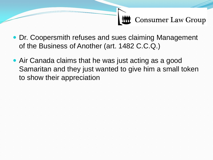- Dr. Coopersmith refuses and sues claiming Management of the Business of Another (art. 1482 C.C.Q.)
- Air Canada claims that he was just acting as a good Samaritan and they just wanted to give him a small token to show their appreciation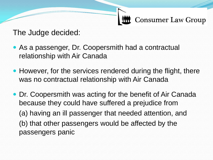The Judge decided:

- As a passenger, Dr. Coopersmith had a contractual relationship with Air Canada
- However, for the services rendered during the flight, there was no contractual relationship with Air Canada
- Dr. Coopersmith was acting for the benefit of Air Canada because they could have suffered a prejudice from (a) having an ill passenger that needed attention, and (b) that other passengers would be affected by the passengers panic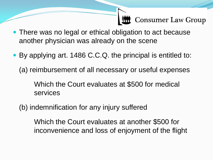- There was no legal or ethical obligation to act because another physician was already on the scene
- By applying art. 1486 C.C.Q. the principal is entitled to:
	- (a) reimbursement of all necessary or useful expenses

Which the Court evaluates at \$500 for medical services

(b) indemnification for any injury suffered

Which the Court evaluates at another \$500 for inconvenience and loss of enjoyment of the flight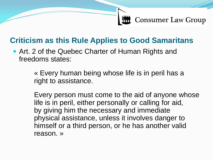### **Criticism as this Rule Applies to Good Samaritans**

 Art. 2 of the Quebec Charter of Human Rights and freedoms states:

> « Every human being whose life is in peril has a right to assistance.

Every person must come to the aid of anyone whose life is in peril, either personally or calling for aid, by giving him the necessary and immediate physical assistance, unless it involves danger to himself or a third person, or he has another valid reason. »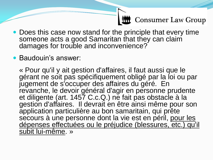- Does this case now stand for the principle that every time someone acts a good Samaritan that they can claim damages for trouble and inconvenience?
- Baudouin's answer:

« Pour qu'il y ait gestion d'affaires, il faut aussi que le gérant ne soit pas spécifiquement obligé par la loi ou par jugement de s'occuper des affaires du géré. En revanche, le devoir général d'agir en personne prudente et diligente (art. 1457 C.c.Q.) ne fait pas obstacle à la gestion d'affaires. Il devrait en être ainsi même pour son application particulière au bon samaritain, qui prête secours à une personne dont la vie est en péril, pour les dépenses effectuées ou le préjudice (blessures, etc.) qu'il subit lui-même. »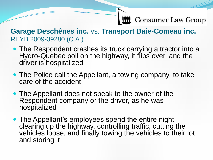#### **Garage Deschênes inc.** vs. **Transport Baie-Comeau inc.** REYB 2009-39280 (C.A.)

- The Respondent crashes its truck carrying a tractor into a Hydro-Quebec poll on the highway, it flips over, and the driver is hospitalized
- The Police call the Appellant, a towing company, to take care of the accident
- The Appellant does not speak to the owner of the Respondent company or the driver, as he was hospitalized
- The Appellant's employees spend the entire night clearing up the highway, controlling traffic, cutting the vehicles loose, and finally towing the vehicles to their lot and storing it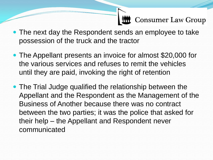- The next day the Respondent sends an employee to take possession of the truck and the tractor
- The Appellant presents an invoice for almost \$20,000 for the various services and refuses to remit the vehicles until they are paid, invoking the right of retention
- The Trial Judge qualified the relationship between the Appellant and the Respondent as the Management of the Business of Another because there was no contract between the two parties; it was the police that asked for their help – the Appellant and Respondent never communicated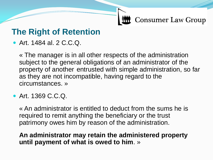### **The Right of Retention**

Art. 1484 al. 2 C.C.Q.

« The manager is in all other respects of the administration subject to the general obligations of an administrator of the property of another entrusted with simple administration, so far as they are not incompatible, having regard to the circumstances. »

Art. 1369 C.C.Q.

« An administrator is entitled to deduct from the sums he is required to remit anything the beneficiary or the trust patrimony owes him by reason of the administration.

#### **An administrator may retain the administered property until payment of what is owed to him**. »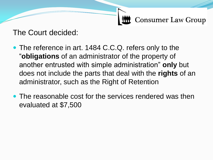The Court decided:

- The reference in art. 1484 C.C.Q. refers only to the "**obligations** of an administrator of the property of another entrusted with simple administration" **only** but does not include the parts that deal with the **rights** of an administrator, such as the Right of Retention
- The reasonable cost for the services rendered was then evaluated at \$7,500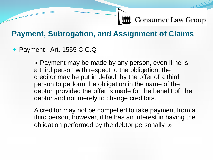#### **Payment, Subrogation, and Assignment of Claims**

#### • Payment - Art. 1555 C.C.Q

« Payment may be made by any person, even if he is a third person with respect to the obligation; the creditor may be put in default by the offer of a third person to perform the obligation in the name of the debtor, provided the offer is made for the benefit of the debtor and not merely to change creditors.

A creditor may not be compelled to take payment from a third person, however, if he has an interest in having the obligation performed by the debtor personally. »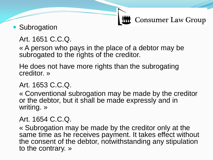### • Subrogation

#### Art. 1651 C.C.Q.

« A person who pays in the place of a debtor may be subrogated to the rights of the creditor.

He does not have more rights than the subrogating creditor. »

#### Art. 1653 C.C.Q.

« Conventional subrogation may be made by the creditor or the debtor, but it shall be made expressly and in writing. »

#### Art. 1654 C.C.Q.

« Subrogation may be made by the creditor only at the same time as he receives payment. It takes effect without the consent of the debtor, notwithstanding any stipulation to the contrary. »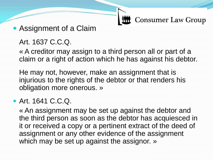Assignment of a Claim

#### Art. 1637 C.C.Q.

« A creditor may assign to a third person all or part of a claim or a right of action which he has against his debtor.

He may not, however, make an assignment that is injurious to the rights of the debtor or that renders his obligation more onerous. »

#### Art. 1641 C.C.Q.

« An assignment may be set up against the debtor and the third person as soon as the debtor has acquiesced in it or received a copy or a pertinent extract of the deed of assignment or any other evidence of the assignment which may be set up against the assignor. »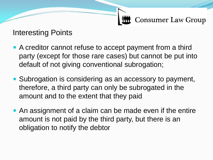Interesting Points

- A creditor cannot refuse to accept payment from a third party (except for those rare cases) but cannot be put into default of not giving conventional subrogation;
- Subrogation is considering as an accessory to payment, therefore, a third party can only be subrogated in the amount and to the extent that they paid
- An assignment of a claim can be made even if the entire amount is not paid by the third party, but there is an obligation to notify the debtor